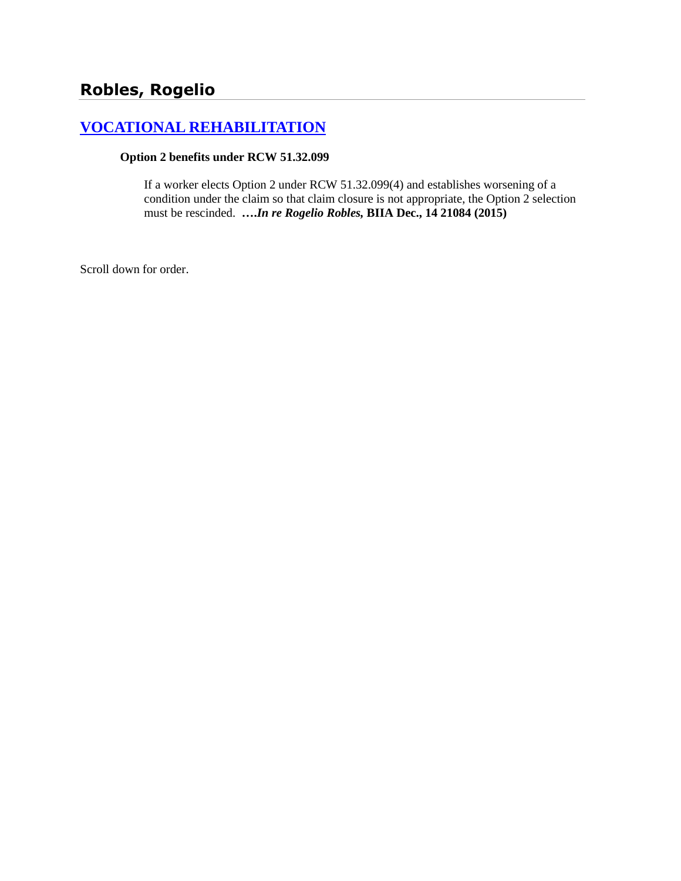# **[VOCATIONAL REHABILITATION](http://www.biia.wa.gov/SDSubjectIndex.html#VOCATIONAL_REHABILITATION)**

#### **Option 2 benefits under RCW 51.32.099**

If a worker elects Option 2 under RCW 51.32.099(4) and establishes worsening of a condition under the claim so that claim closure is not appropriate, the Option 2 selection must be rescinded. **….***In re Rogelio Robles,* **BIIA Dec., 14 21084 (2015)**

Scroll down for order.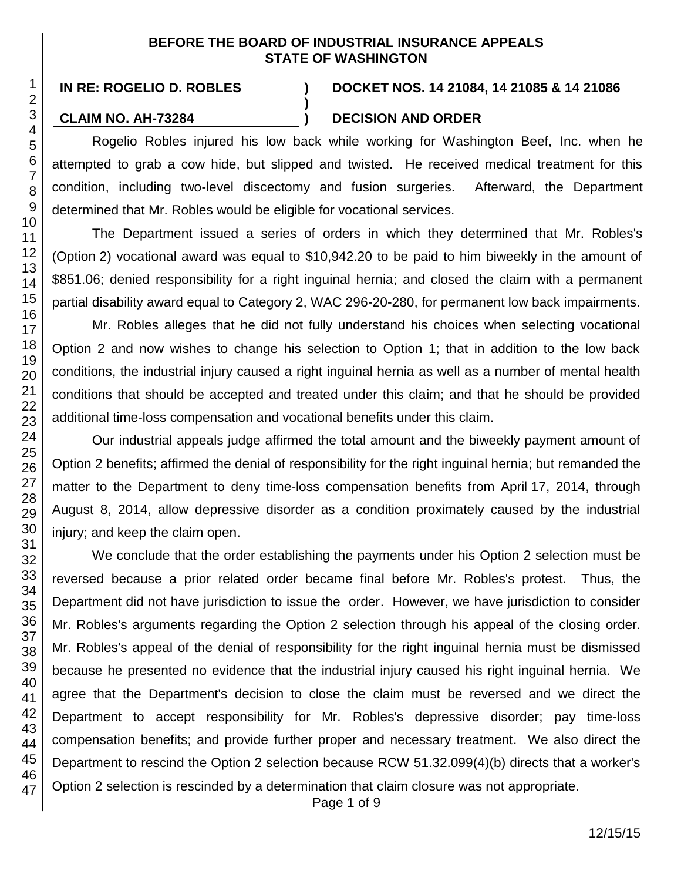#### **BEFORE THE BOARD OF INDUSTRIAL INSURANCE APPEALS STATE OF WASHINGTON**

**)**

## **IN RE: ROGELIO D. ROBLES ) DOCKET NOS. 14 21084, 14 21085 & 14 21086**

## **CLAIM NO. AH-73284 ) DECISION AND ORDER**

Rogelio Robles injured his low back while working for Washington Beef, Inc. when he attempted to grab a cow hide, but slipped and twisted. He received medical treatment for this condition, including two-level discectomy and fusion surgeries. Afterward, the Department determined that Mr. Robles would be eligible for vocational services.

The Department issued a series of orders in which they determined that Mr. Robles's (Option 2) vocational award was equal to \$10,942.20 to be paid to him biweekly in the amount of \$851.06; denied responsibility for a right inguinal hernia; and closed the claim with a permanent partial disability award equal to Category 2, WAC 296-20-280, for permanent low back impairments.

Mr. Robles alleges that he did not fully understand his choices when selecting vocational Option 2 and now wishes to change his selection to Option 1; that in addition to the low back conditions, the industrial injury caused a right inguinal hernia as well as a number of mental health conditions that should be accepted and treated under this claim; and that he should be provided additional time-loss compensation and vocational benefits under this claim.

Our industrial appeals judge affirmed the total amount and the biweekly payment amount of Option 2 benefits; affirmed the denial of responsibility for the right inguinal hernia; but remanded the matter to the Department to deny time-loss compensation benefits from April 17, 2014, through August 8, 2014, allow depressive disorder as a condition proximately caused by the industrial injury; and keep the claim open.

We conclude that the order establishing the payments under his Option 2 selection must be reversed because a prior related order became final before Mr. Robles's protest. Thus, the Department did not have jurisdiction to issue the order. However, we have jurisdiction to consider Mr. Robles's arguments regarding the Option 2 selection through his appeal of the closing order. Mr. Robles's appeal of the denial of responsibility for the right inguinal hernia must be dismissed because he presented no evidence that the industrial injury caused his right inguinal hernia. We agree that the Department's decision to close the claim must be reversed and we direct the Department to accept responsibility for Mr. Robles's depressive disorder; pay time-loss compensation benefits; and provide further proper and necessary treatment. We also direct the Department to rescind the Option 2 selection because RCW 51.32.099(4)(b) directs that a worker's Option 2 selection is rescinded by a determination that claim closure was not appropriate.

Page 1 of 9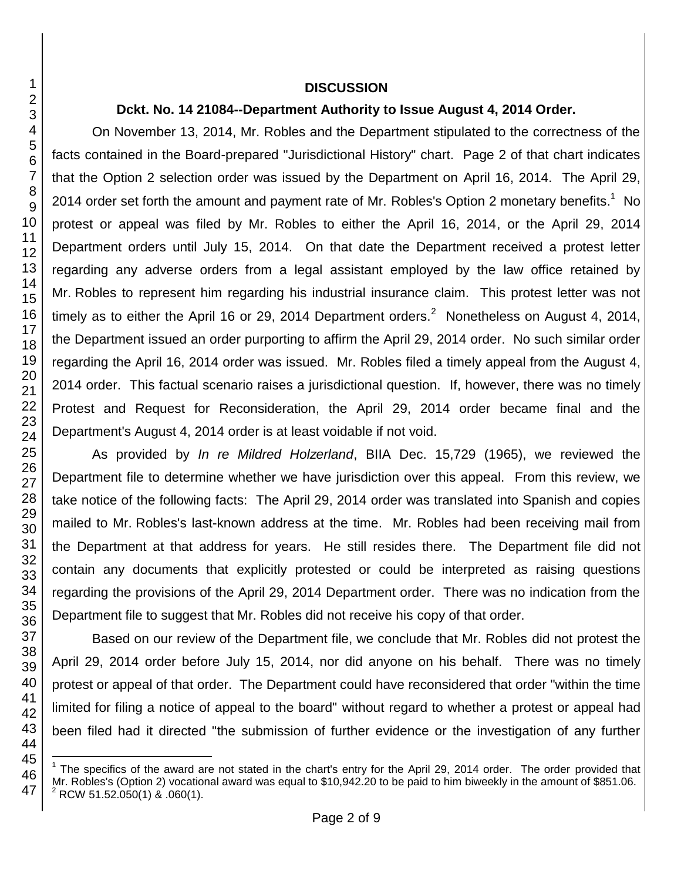#### **DISCUSSION**

### **Dckt. No. 14 21084--Department Authority to Issue August 4, 2014 Order.**

On November 13, 2014, Mr. Robles and the Department stipulated to the correctness of the facts contained in the Board-prepared "Jurisdictional History" chart. Page 2 of that chart indicates that the Option 2 selection order was issued by the Department on April 16, 2014. The April 29, 2014 order set forth the amount and payment rate of Mr. Robles's Option 2 monetary benefits.<sup>1</sup> No protest or appeal was filed by Mr. Robles to either the April 16, 2014, or the April 29, 2014 Department orders until July 15, 2014. On that date the Department received a protest letter regarding any adverse orders from a legal assistant employed by the law office retained by Mr. Robles to represent him regarding his industrial insurance claim. This protest letter was not timely as to either the April 16 or 29, 2014 Department orders.<sup>2</sup> Nonetheless on August 4, 2014, the Department issued an order purporting to affirm the April 29, 2014 order. No such similar order regarding the April 16, 2014 order was issued. Mr. Robles filed a timely appeal from the August 4, 2014 order. This factual scenario raises a jurisdictional question. If, however, there was no timely Protest and Request for Reconsideration, the April 29, 2014 order became final and the Department's August 4, 2014 order is at least voidable if not void.

As provided by *In re Mildred Holzerland*, BIIA Dec. 15,729 (1965), we reviewed the Department file to determine whether we have jurisdiction over this appeal. From this review, we take notice of the following facts: The April 29, 2014 order was translated into Spanish and copies mailed to Mr. Robles's last-known address at the time. Mr. Robles had been receiving mail from the Department at that address for years. He still resides there. The Department file did not contain any documents that explicitly protested or could be interpreted as raising questions regarding the provisions of the April 29, 2014 Department order. There was no indication from the Department file to suggest that Mr. Robles did not receive his copy of that order.

Based on our review of the Department file, we conclude that Mr. Robles did not protest the April 29, 2014 order before July 15, 2014, nor did anyone on his behalf. There was no timely protest or appeal of that order. The Department could have reconsidered that order "within the time limited for filing a notice of appeal to the board" without regard to whether a protest or appeal had been filed had it directed "the submission of further evidence or the investigation of any further

l

<sup>1</sup> The specifics of the award are not stated in the chart's entry for the April 29, 2014 order. The order provided that Mr. Robles's (Option 2) vocational award was equal to \$10,942.20 to be paid to him biweekly in the amount of \$851.06. <sup>2</sup> RCW 51.52.050(1) & .060(1).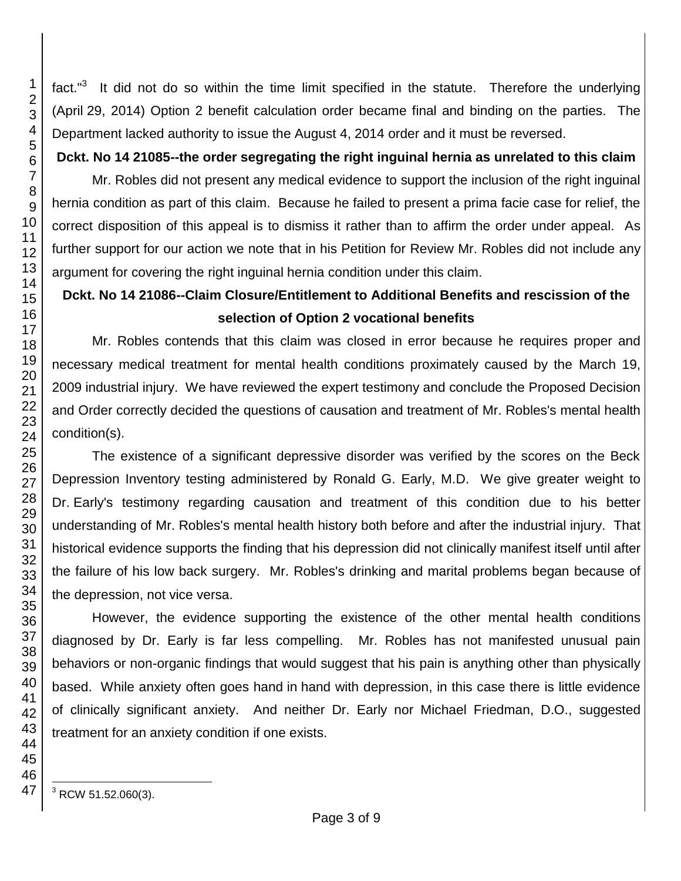fact."<sup>3</sup> It did not do so within the time limit specified in the statute. Therefore the underlying (April 29, 2014) Option 2 benefit calculation order became final and binding on the parties. The Department lacked authority to issue the August 4, 2014 order and it must be reversed.

**Dckt. No 14 21085--the order segregating the right inguinal hernia as unrelated to this claim**

Mr. Robles did not present any medical evidence to support the inclusion of the right inguinal hernia condition as part of this claim. Because he failed to present a prima facie case for relief, the correct disposition of this appeal is to dismiss it rather than to affirm the order under appeal. As further support for our action we note that in his Petition for Review Mr. Robles did not include any argument for covering the right inguinal hernia condition under this claim.

# **Dckt. No 14 21086--Claim Closure/Entitlement to Additional Benefits and rescission of the selection of Option 2 vocational benefits**

Mr. Robles contends that this claim was closed in error because he requires proper and necessary medical treatment for mental health conditions proximately caused by the March 19, industrial injury. We have reviewed the expert testimony and conclude the Proposed Decision and Order correctly decided the questions of causation and treatment of Mr. Robles's mental health condition(s).

The existence of a significant depressive disorder was verified by the scores on the Beck Depression Inventory testing administered by Ronald G. Early, M.D. We give greater weight to Dr. Early's testimony regarding causation and treatment of this condition due to his better understanding of Mr. Robles's mental health history both before and after the industrial injury. That historical evidence supports the finding that his depression did not clinically manifest itself until after the failure of his low back surgery. Mr. Robles's drinking and marital problems began because of the depression, not vice versa.

However, the evidence supporting the existence of the other mental health conditions diagnosed by Dr. Early is far less compelling. Mr. Robles has not manifested unusual pain behaviors or non-organic findings that would suggest that his pain is anything other than physically based. While anxiety often goes hand in hand with depression, in this case there is little evidence of clinically significant anxiety. And neither Dr. Early nor Michael Friedman, D.O., suggested treatment for an anxiety condition if one exists.

RCW 51.52.060(3).

l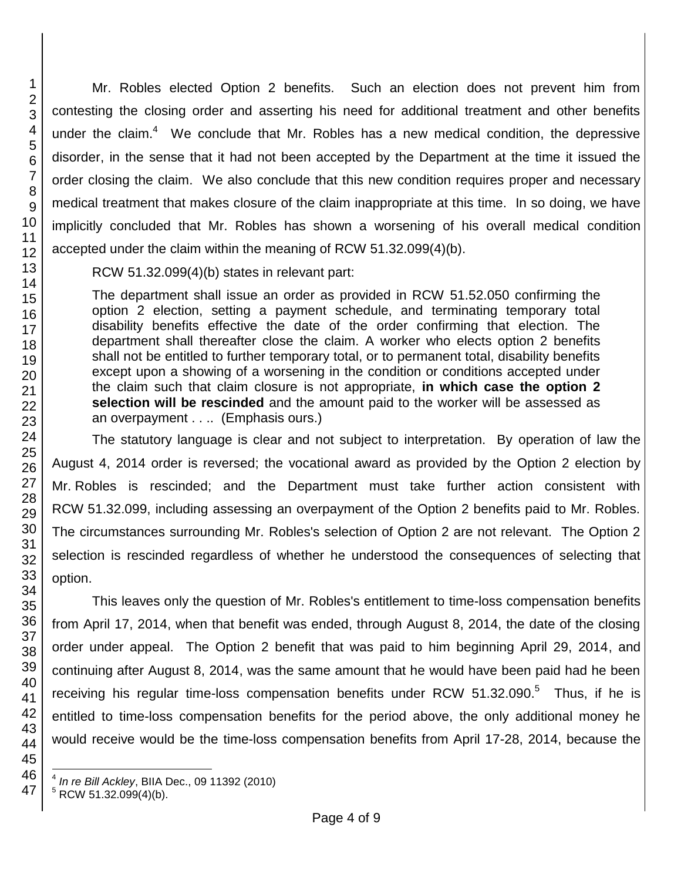Mr. Robles elected Option 2 benefits. Such an election does not prevent him from contesting the closing order and asserting his need for additional treatment and other benefits under the claim. $4\text{ }$  We conclude that Mr. Robles has a new medical condition, the depressive disorder, in the sense that it had not been accepted by the Department at the time it issued the order closing the claim. We also conclude that this new condition requires proper and necessary medical treatment that makes closure of the claim inappropriate at this time. In so doing, we have implicitly concluded that Mr. Robles has shown a worsening of his overall medical condition accepted under the claim within the meaning of RCW 51.32.099(4)(b).

RCW 51.32.099(4)(b) states in relevant part:

The department shall issue an order as provided in RCW 51.52.050 confirming the option 2 election, setting a payment schedule, and terminating temporary total disability benefits effective the date of the order confirming that election. The department shall thereafter close the claim. A worker who elects option 2 benefits shall not be entitled to further temporary total, or to permanent total, disability benefits except upon a showing of a worsening in the condition or conditions accepted under the claim such that claim closure is not appropriate, **in which case the option 2 selection will be rescinded** and the amount paid to the worker will be assessed as an overpayment . . .. (Emphasis ours.)

The statutory language is clear and not subject to interpretation. By operation of law the August 4, 2014 order is reversed; the vocational award as provided by the Option 2 election by Mr. Robles is rescinded; and the Department must take further action consistent with RCW 51.32.099, including assessing an overpayment of the Option 2 benefits paid to Mr. Robles. The circumstances surrounding Mr. Robles's selection of Option 2 are not relevant. The Option 2 selection is rescinded regardless of whether he understood the consequences of selecting that option.

This leaves only the question of Mr. Robles's entitlement to time-loss compensation benefits from April 17, 2014, when that benefit was ended, through August 8, 2014, the date of the closing order under appeal. The Option 2 benefit that was paid to him beginning April 29, 2014, and continuing after August 8, 2014, was the same amount that he would have been paid had he been receiving his regular time-loss compensation benefits under RCW  $51.32.090.^5$  Thus, if he is entitled to time-loss compensation benefits for the period above, the only additional money he would receive would be the time-loss compensation benefits from April 17-28, 2014, because the

l 4 *In re Bill Ackley*, BIIA Dec., 09 11392 (2010)

 $5$  RCW 51.32.099(4)(b).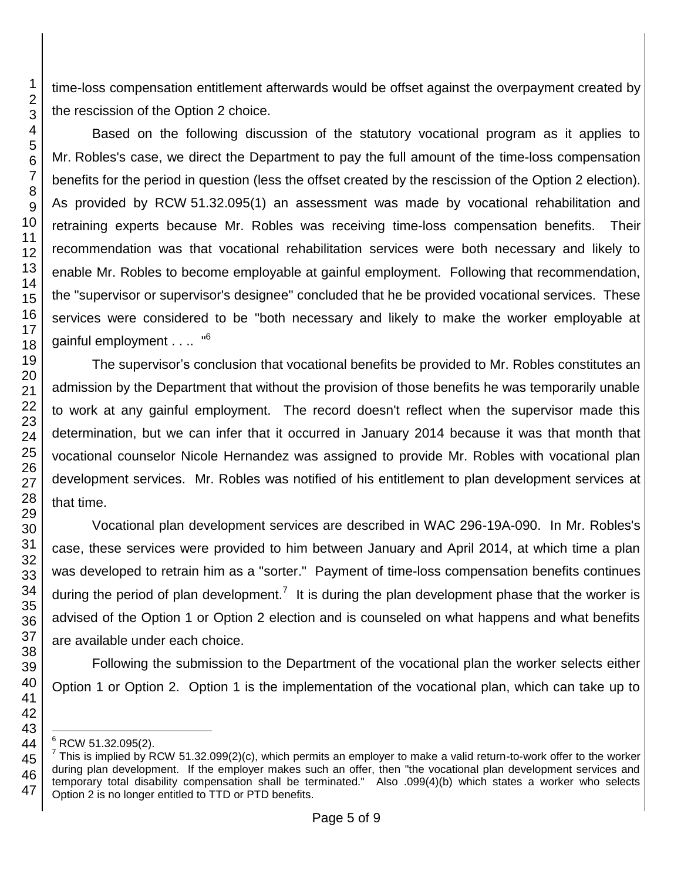time-loss compensation entitlement afterwards would be offset against the overpayment created by the rescission of the Option 2 choice.

Based on the following discussion of the statutory vocational program as it applies to Mr. Robles's case, we direct the Department to pay the full amount of the time-loss compensation benefits for the period in question (less the offset created by the rescission of the Option 2 election). As provided by RCW 51.32.095(1) an assessment was made by vocational rehabilitation and retraining experts because Mr. Robles was receiving time-loss compensation benefits. Their recommendation was that vocational rehabilitation services were both necessary and likely to enable Mr. Robles to become employable at gainful employment. Following that recommendation, the "supervisor or supervisor's designee" concluded that he be provided vocational services. These services were considered to be "both necessary and likely to make the worker employable at gainful employment . . .. "<sup>6</sup>

The supervisor's conclusion that vocational benefits be provided to Mr. Robles constitutes an admission by the Department that without the provision of those benefits he was temporarily unable to work at any gainful employment. The record doesn't reflect when the supervisor made this determination, but we can infer that it occurred in January 2014 because it was that month that vocational counselor Nicole Hernandez was assigned to provide Mr. Robles with vocational plan development services. Mr. Robles was notified of his entitlement to plan development services at that time.

Vocational plan development services are described in WAC 296-19A-090. In Mr. Robles's case, these services were provided to him between January and April 2014, at which time a plan was developed to retrain him as a "sorter." Payment of time-loss compensation benefits continues during the period of plan development.<sup>7</sup> It is during the plan development phase that the worker is advised of the Option 1 or Option 2 election and is counseled on what happens and what benefits are available under each choice.

Following the submission to the Department of the vocational plan the worker selects either Option 1 or Option 2. Option 1 is the implementation of the vocational plan, which can take up to

l  $^{\circ}$  RCW 51.32.095(2).

<sup>&</sup>lt;sup>7</sup> This is implied by RCW 51.32.099(2)(c), which permits an employer to make a valid return-to-work offer to the worker during plan development. If the employer makes such an offer, then "the vocational plan development services and temporary total disability compensation shall be terminated." Also .099(4)(b) which states a worker who selects Option 2 is no longer entitled to TTD or PTD benefits.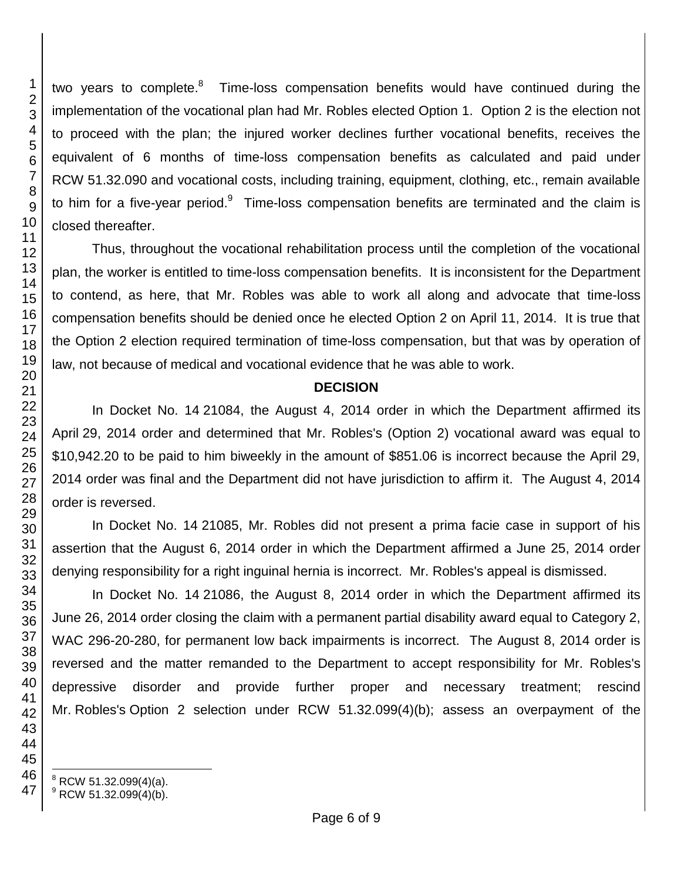two years to complete.<sup>8</sup> Time-loss compensation benefits would have continued during the implementation of the vocational plan had Mr. Robles elected Option 1. Option 2 is the election not to proceed with the plan; the injured worker declines further vocational benefits, receives the equivalent of 6 months of time-loss compensation benefits as calculated and paid under RCW 51.32.090 and vocational costs, including training, equipment, clothing, etc., remain available to him for a five-year period. $9$  Time-loss compensation benefits are terminated and the claim is closed thereafter.

Thus, throughout the vocational rehabilitation process until the completion of the vocational plan, the worker is entitled to time-loss compensation benefits. It is inconsistent for the Department to contend, as here, that Mr. Robles was able to work all along and advocate that time-loss compensation benefits should be denied once he elected Option 2 on April 11, 2014. It is true that the Option 2 election required termination of time-loss compensation, but that was by operation of law, not because of medical and vocational evidence that he was able to work.

#### **DECISION**

In Docket No. 14 21084, the August 4, 2014 order in which the Department affirmed its April 29, 2014 order and determined that Mr. Robles's (Option 2) vocational award was equal to \$10,942.20 to be paid to him biweekly in the amount of \$851.06 is incorrect because the April 29, 2014 order was final and the Department did not have jurisdiction to affirm it. The August 4, 2014 order is reversed.

In Docket No. 14 21085, Mr. Robles did not present a prima facie case in support of his assertion that the August 6, 2014 order in which the Department affirmed a June 25, 2014 order denying responsibility for a right inguinal hernia is incorrect. Mr. Robles's appeal is dismissed.

In Docket No. 14 21086, the August 8, 2014 order in which the Department affirmed its June 26, 2014 order closing the claim with a permanent partial disability award equal to Category 2, WAC 296-20-280, for permanent low back impairments is incorrect. The August 8, 2014 order is reversed and the matter remanded to the Department to accept responsibility for Mr. Robles's depressive disorder and provide further proper and necessary treatment; rescind Mr. Robles's Option 2 selection under RCW 51.32.099(4)(b); assess an overpayment of the

l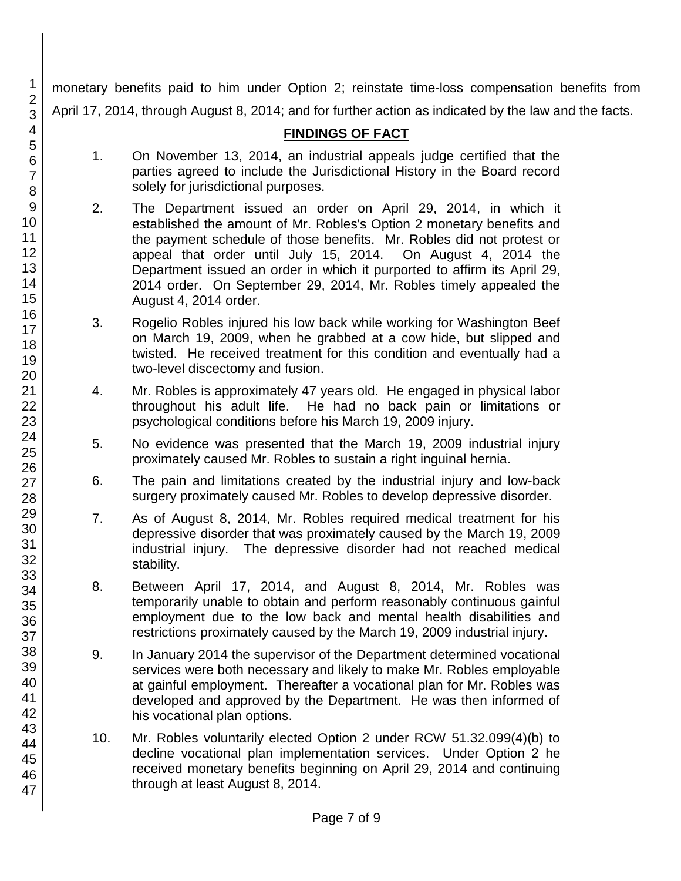monetary benefits paid to him under Option 2; reinstate time-loss compensation benefits from April 17, 2014, through August 8, 2014; and for further action as indicated by the law and the facts.

# **FINDINGS OF FACT**

- 1. On November 13, 2014, an industrial appeals judge certified that the parties agreed to include the Jurisdictional History in the Board record solely for jurisdictional purposes.
- 2. The Department issued an order on April 29, 2014, in which it established the amount of Mr. Robles's Option 2 monetary benefits and the payment schedule of those benefits. Mr. Robles did not protest or appeal that order until July 15, 2014. On August 4, 2014 the Department issued an order in which it purported to affirm its April 29, 2014 order. On September 29, 2014, Mr. Robles timely appealed the August 4, 2014 order.
- 3. Rogelio Robles injured his low back while working for Washington Beef on March 19, 2009, when he grabbed at a cow hide, but slipped and twisted. He received treatment for this condition and eventually had a two-level discectomy and fusion.
- 4. Mr. Robles is approximately 47 years old. He engaged in physical labor throughout his adult life. He had no back pain or limitations or psychological conditions before his March 19, 2009 injury.
- 5. No evidence was presented that the March 19, 2009 industrial injury proximately caused Mr. Robles to sustain a right inguinal hernia.
- 6. The pain and limitations created by the industrial injury and low-back surgery proximately caused Mr. Robles to develop depressive disorder.
- 7. As of August 8, 2014, Mr. Robles required medical treatment for his depressive disorder that was proximately caused by the March 19, 2009 industrial injury. The depressive disorder had not reached medical stability.
- 8. Between April 17, 2014, and August 8, 2014, Mr. Robles was temporarily unable to obtain and perform reasonably continuous gainful employment due to the low back and mental health disabilities and restrictions proximately caused by the March 19, 2009 industrial injury.
- 9. In January 2014 the supervisor of the Department determined vocational services were both necessary and likely to make Mr. Robles employable at gainful employment. Thereafter a vocational plan for Mr. Robles was developed and approved by the Department. He was then informed of his vocational plan options.
- 10. Mr. Robles voluntarily elected Option 2 under RCW 51.32.099(4)(b) to decline vocational plan implementation services. Under Option 2 he received monetary benefits beginning on April 29, 2014 and continuing through at least August 8, 2014.

1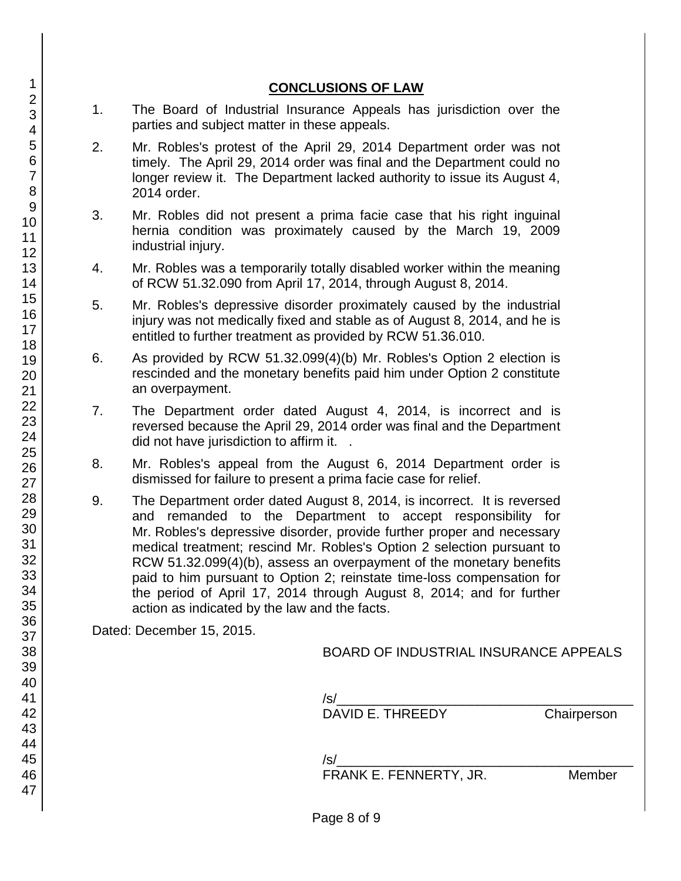# **CONCLUSIONS OF LAW** 1. The Board of Industrial Insurance Appeals has jurisdiction over the parties and subject matter in these appeals. 2. Mr. Robles's protest of the April 29, 2014 Department order was not timely. The April 29, 2014 order was final and the Department could no longer review it. The Department lacked authority to issue its August 4, 2014 order. 3. Mr. Robles did not present a prima facie case that his right inguinal hernia condition was proximately caused by the March 19, 2009 industrial injury. 4. Mr. Robles was a temporarily totally disabled worker within the meaning of RCW 51.32.090 from April 17, 2014, through August 8, 2014. 5. Mr. Robles's depressive disorder proximately caused by the industrial injury was not medically fixed and stable as of August 8, 2014, and he is entitled to further treatment as provided by RCW 51.36.010. 6. As provided by RCW 51.32.099(4)(b) Mr. Robles's Option 2 election is rescinded and the monetary benefits paid him under Option 2 constitute an overpayment. 7. The Department order dated August 4, 2014, is incorrect and is reversed because the April 29, 2014 order was final and the Department did not have jurisdiction to affirm it. . 8. Mr. Robles's appeal from the August 6, 2014 Department order is dismissed for failure to present a prima facie case for relief. 9. The Department order dated August 8, 2014, is incorrect. It is reversed and remanded to the Department to accept responsibility for Mr. Robles's depressive disorder, provide further proper and necessary medical treatment; rescind Mr. Robles's Option 2 selection pursuant to RCW 51.32.099(4)(b), assess an overpayment of the monetary benefits paid to him pursuant to Option 2; reinstate time-loss compensation for the period of April 17, 2014 through August 8, 2014; and for further action as indicated by the law and the facts. Dated: December 15, 2015. BOARD OF INDUSTRIAL INSURANCE APPEALS /s/\_\_\_\_\_\_\_\_\_\_\_\_\_\_\_\_\_\_\_\_\_\_\_\_\_\_\_\_\_\_\_\_\_\_\_\_\_\_\_\_ DAVID E. THREEDY Chairperson /s/\_\_\_\_\_\_\_\_\_\_\_\_\_\_\_\_\_\_\_\_\_\_\_\_\_\_\_\_\_\_\_\_\_\_\_\_\_\_\_\_ FRANK E. FENNERTY, JR. Member